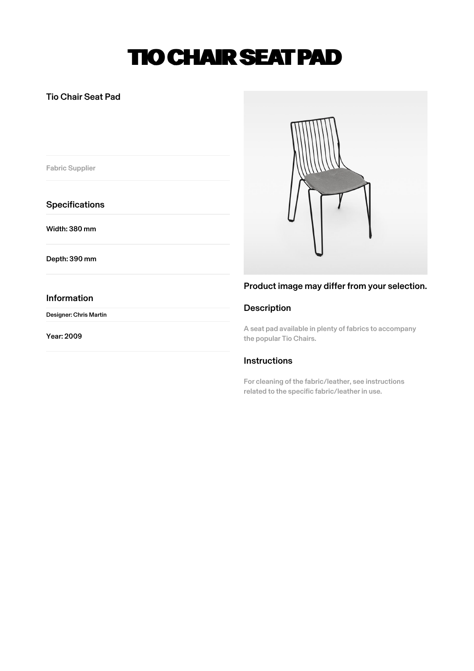# TIO CHAIR SEAT PAD

## Tio Chair Seat Pad

Fabric Supplier

## **Specifications**

Width: 380 mm

Depth: 390 mm

### Information

Designer: Chris Martin

Year: 2009



## Product image may differ from your selection.

## Description

A seat pad available in plenty of fabrics to accompany the popular Tio Chairs.

## **Instructions**

For cleaning of the fabric/leather, see instructions related to the specific fabric/leather in use.